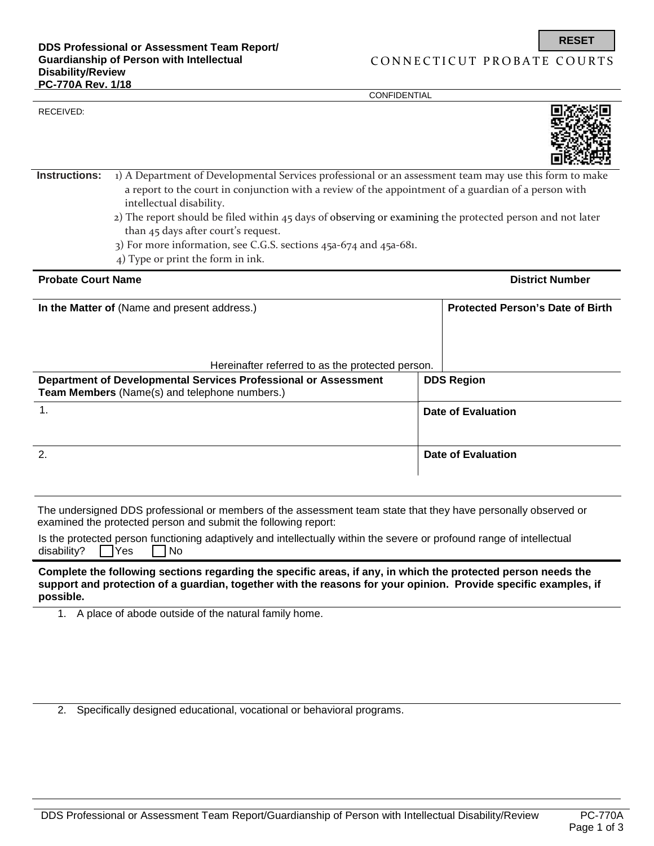RECEIVED:

**CONFIDENTIAL** 



| Instructions:                                | 1) A Department of Developmental Services professional or an assessment team may use this form to make<br>a report to the court in conjunction with a review of the appointment of a guardian of a person with<br>intellectual disability.<br>$2)$ The report should be filed within 45 days of observing or examining the protected person and not later<br>than 45 days after court's request.<br>3) For more information, see C.G.S. sections 45a-674 and 45a-681.<br>4) Type or print the form in ink. |                           |                                         |  |  |
|----------------------------------------------|------------------------------------------------------------------------------------------------------------------------------------------------------------------------------------------------------------------------------------------------------------------------------------------------------------------------------------------------------------------------------------------------------------------------------------------------------------------------------------------------------------|---------------------------|-----------------------------------------|--|--|
| <b>Probate Court Name</b>                    |                                                                                                                                                                                                                                                                                                                                                                                                                                                                                                            |                           | <b>District Number</b>                  |  |  |
| In the Matter of (Name and present address.) |                                                                                                                                                                                                                                                                                                                                                                                                                                                                                                            |                           | <b>Protected Person's Date of Birth</b> |  |  |
|                                              | Hereinafter referred to as the protected person.<br>Department of Developmental Services Professional or Assessment<br>Team Members (Name(s) and telephone numbers.)                                                                                                                                                                                                                                                                                                                                       |                           | <b>DDS Region</b>                       |  |  |
| 1.                                           | <b>Date of Evaluation</b>                                                                                                                                                                                                                                                                                                                                                                                                                                                                                  |                           |                                         |  |  |
| $\overline{2}$ .                             |                                                                                                                                                                                                                                                                                                                                                                                                                                                                                                            | <b>Date of Evaluation</b> |                                         |  |  |
|                                              | The undersigned DDS professional or members of the assessment team state that they have personally observed or<br>examined the protected person and submit the following report:                                                                                                                                                                                                                                                                                                                           |                           |                                         |  |  |
|                                              | Is the protected person functioning adaptively and intellectually within the severe or profound range of intellectual                                                                                                                                                                                                                                                                                                                                                                                      |                           |                                         |  |  |

|                                  | Is the protected person functioning adaptively and intellectually within the severe or profound range of intellectual |  |  |  |
|----------------------------------|-----------------------------------------------------------------------------------------------------------------------|--|--|--|
| disability? $\Box$ Yes $\Box$ No |                                                                                                                       |  |  |  |

**Complete the following sections regarding the specific areas, if any, in which the protected person needs the support and protection of a guardian, together with the reasons for your opinion. Provide specific examples, if possible.**

1. A place of abode outside of the natural family home.

2. Specifically designed educational, vocational or behavioral programs.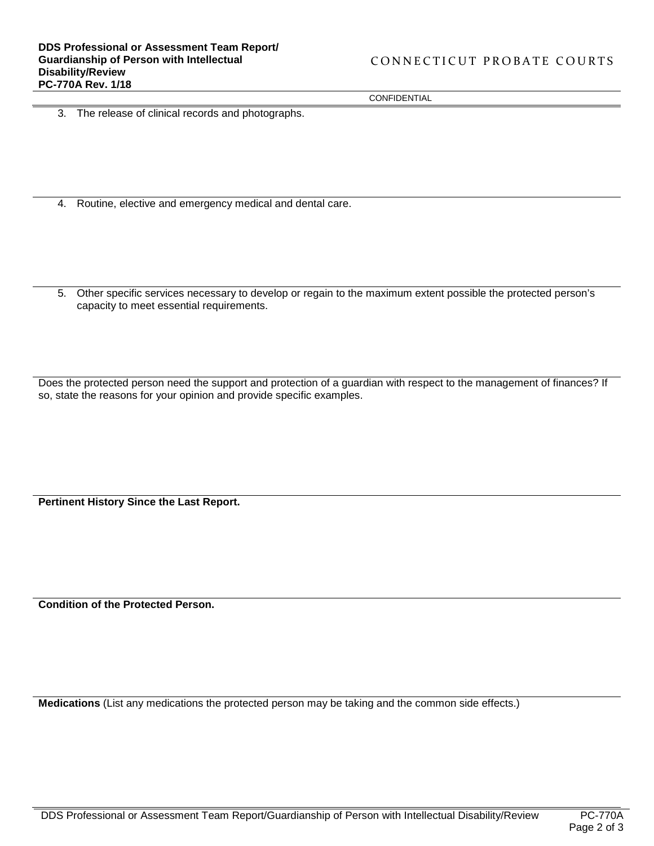**CONFIDENTIAL** 

3. The release of clinical records and photographs.

- 4. Routine, elective and emergency medical and dental care.
- 5. Other specific services necessary to develop or regain to the maximum extent possible the protected person's capacity to meet essential requirements.

Does the protected person need the support and protection of a guardian with respect to the management of finances? If so, state the reasons for your opinion and provide specific examples.

**Pertinent History Since the Last Report.**

**Condition of the Protected Person.**

**Medications** (List any medications the protected person may be taking and the common side effects.)